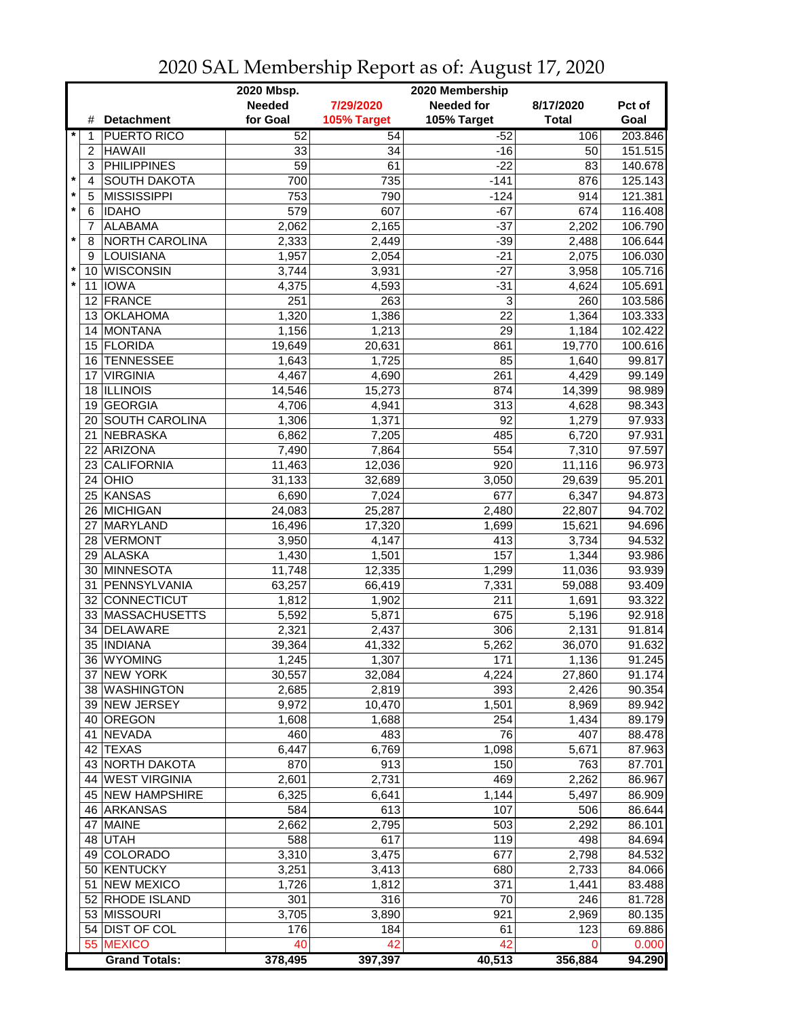|         |                         |                       | 2020 Mbsp.<br>2020 Membership |             |                         |              |         |  |
|---------|-------------------------|-----------------------|-------------------------------|-------------|-------------------------|--------------|---------|--|
|         |                         |                       | <b>Needed</b>                 | 7/29/2020   | <b>Needed for</b>       | 8/17/2020    | Pct of  |  |
|         | #                       | <b>Detachment</b>     | for Goal                      | 105% Target | 105% Target             | <b>Total</b> | Goal    |  |
|         | 1                       | <b>PUERTO RICO</b>    | 52                            | 54          | $-52$                   | 106          | 203.846 |  |
|         | $\overline{c}$          | <b>HAWAII</b>         | 33                            | 34          | $-16$                   | 50           | 151.515 |  |
|         | 3                       | <b>PHILIPPINES</b>    | $\overline{59}$               | 61          | $-22$                   | 83           | 140.678 |  |
| $\star$ | $\overline{\mathbf{4}}$ | <b>SOUTH DAKOTA</b>   | 700                           | 735         | $-141$                  | 876          | 125.143 |  |
| $\star$ | 5                       | <b>MISSISSIPPI</b>    | 753                           | 790         | $-124$                  | 914          | 121.381 |  |
| $\star$ | 6                       | <b>IDAHO</b>          | 579                           | 607         | $-67$                   | 674          | 116.408 |  |
|         | 7                       | <b>ALABAMA</b>        | 2,062                         | 2,165       | $-37$                   | 2,202        | 106.790 |  |
| $\star$ | 8                       | NORTH CAROLINA        | 2,333                         | 2,449       | $-39$                   | 2,488        | 106.644 |  |
|         | 9                       | LOUISIANA             | 1,957                         | 2,054       | $-21$                   | 2,075        | 106.030 |  |
| $\star$ | 10                      | WISCONSIN             | 3,744                         | 3,931       | $-27$                   | 3,958        | 105.716 |  |
| $\star$ | 11                      | <b>IOWA</b>           | 4,375                         | 4,593       | $-31$                   | 4,624        | 105.691 |  |
|         | 12                      | FRANCE                | 251                           | 263         | 3                       | 260          | 103.586 |  |
|         | 13                      | <b>OKLAHOMA</b>       | 1,320                         | 1,386       | 22                      | 1,364        | 103.333 |  |
|         | 14                      | <b>MONTANA</b>        | 1,156                         | 1,213       | 29                      | 1,184        | 102.422 |  |
|         |                         | 15 FLORIDA            | 19,649                        | 20,631      | 861                     | 19,770       | 100.616 |  |
|         | 16                      | <b>TENNESSEE</b>      | 1,643                         | 1,725       | 85                      | 1,640        | 99.817  |  |
|         | 17                      | <b>VIRGINIA</b>       | 4,467                         | 4,690       | 261                     | 4,429        | 99.149  |  |
|         | 18                      | <b>ILLINOIS</b>       | 14,546                        | 15,273      | 874                     | 14,399       | 98.989  |  |
|         | 19                      | <b>GEORGIA</b>        | 4,706                         |             | 313                     | 4,628        | 98.343  |  |
|         |                         | <b>SOUTH CAROLINA</b> |                               | 4,941       | 92                      |              |         |  |
|         | 20<br>21                |                       | 1,306<br>6,862                | 1,371       | 485                     | 1,279        | 97.933  |  |
|         | 22                      | NEBRASKA<br>ARIZONA   |                               | 7,205       |                         | 6,720        | 97.931  |  |
|         |                         | 23 CALIFORNIA         | 7,490                         | 7,864       | 554<br>$\overline{920}$ | 7,310        | 97.597  |  |
|         |                         |                       | 11,463                        | 12,036      |                         | 11,116       | 96.973  |  |
|         |                         | $24$ OHIO             | 31,133                        | 32,689      | 3,050                   | 29,639       | 95.201  |  |
|         |                         | 25 KANSAS             | 6,690                         | 7,024       | 677                     | 6,347        | 94.873  |  |
|         |                         | 26 MICHIGAN           | 24,083                        | 25,287      | 2,480                   | 22,807       | 94.702  |  |
|         | 27                      | MARYLAND              | 16,496                        | 17,320      | 1,699                   | 15,621       | 94.696  |  |
|         |                         | 28 VERMONT            | 3,950                         | 4,147       | 413                     | 3,734        | 94.532  |  |
|         |                         | 29 ALASKA             | 1,430                         | 1,501       | 157                     | 1,344        | 93.986  |  |
|         | 30                      | MINNESOTA             | 11,748                        | 12,335      | 1,299                   | 11,036       | 93.939  |  |
|         | 31                      | PENNSYLVANIA          | 63,257                        | 66,419      | 7,331                   | 59,088       | 93.409  |  |
|         | 32 <sup>2</sup>         | CONNECTICUT           | 1,812                         | 1,902       | 211                     | 1,691        | 93.322  |  |
|         |                         | 33 MASSACHUSETTS      | 5,592                         | 5,871       | 675                     | 5,196        | 92.918  |  |
|         | 34                      | <b>DELAWARE</b>       | 2,321                         | 2,437       | 306                     | 2,131        | 91.814  |  |
|         |                         | 35   INDIANA          | 39,364                        | 41,332      | 5,262                   | 36,070       | 91.632  |  |
|         |                         | 36   WYOMING          | 1,245                         | 1,307       | 171                     | 1,136        | 91.245  |  |
|         |                         | 37 NEW YORK           | 30,557                        | 32,084      | 4,224                   | 27,860       | 91.174  |  |
|         |                         | 38 WASHINGTON         | 2,685                         | 2,819       | 393                     | 2,426        | 90.354  |  |
|         |                         | 39 NEW JERSEY         | 9,972                         | 10,470      | 1,501                   | 8,969        | 89.942  |  |
|         |                         | 40 OREGON             | 1,608                         | 1,688       | 254                     | 1,434        | 89.179  |  |
|         |                         | 41 NEVADA             | 460                           | 483         | 76                      | 407          | 88.478  |  |
|         |                         | 42 TEXAS              | 6,447                         | 6,769       | 1,098                   | 5,671        | 87.963  |  |
|         |                         | 43 NORTH DAKOTA       | 870                           | 913         | 150                     | 763          | 87.701  |  |
|         |                         | 44 WEST VIRGINIA      | 2,601                         | 2,731       | 469                     | 2,262        | 86.967  |  |
|         |                         | 45 NEW HAMPSHIRE      | 6,325                         | 6,641       | 1,144                   | 5,497        | 86.909  |  |
|         |                         | 46 ARKANSAS           | 584                           | 613         | 107                     | 506          | 86.644  |  |
|         | 47                      | <b>MAINE</b>          | 2,662                         | 2,795       | 503                     | 2,292        | 86.101  |  |
|         |                         | 48 UTAH               | 588                           | 617         | 119                     | 498          | 84.694  |  |
|         |                         | 49 COLORADO           | 3,310                         | 3,475       | 677                     | 2,798        | 84.532  |  |
|         |                         | 50 KENTUCKY           | 3,251                         | 3,413       | 680                     | 2,733        | 84.066  |  |
|         |                         | 51 NEW MEXICO         | 1,726                         | 1,812       | 371                     | 1,441        | 83.488  |  |
|         |                         | 52 RHODE ISLAND       | 301                           | 316         | 70                      | 246          | 81.728  |  |
|         |                         | 53 MISSOURI           | 3,705                         | 3,890       | 921                     | 2,969        | 80.135  |  |
|         |                         | 54 DIST OF COL        | 176                           | 184         | 61                      | 123          | 69.886  |  |
|         |                         | 55 MEXICO             | 40                            | 42          | 42                      | 0            | 0.000   |  |
|         |                         | <b>Grand Totals:</b>  | 378,495                       | 397,397     | 40,513                  | 356,884      | 94.290  |  |

2020 SAL Membership Report as of: August 17, 2020